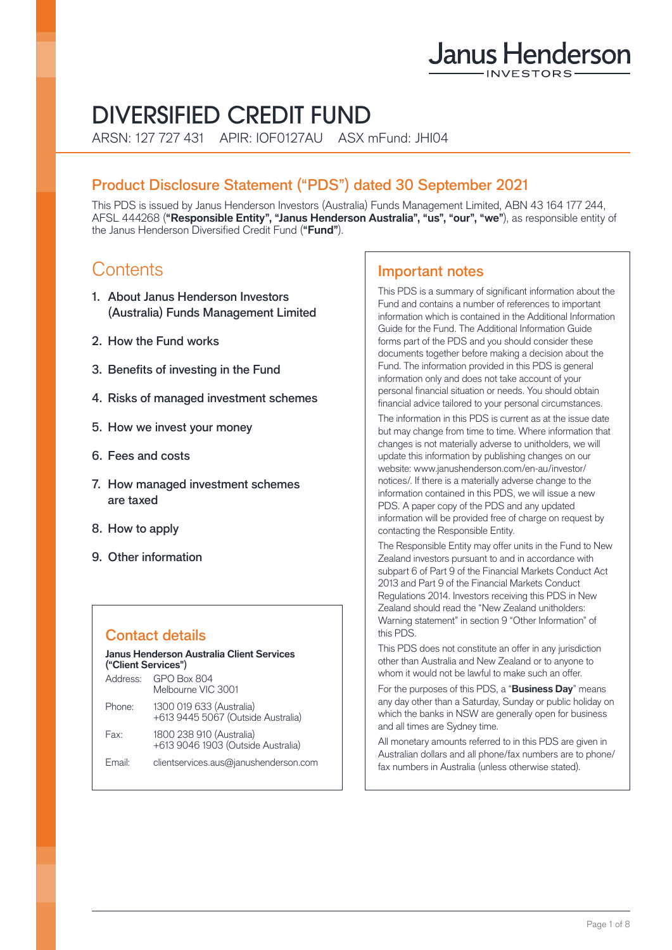# Janus Henderson

# DIVERSIFIED CREDIT FUND

ARSN: 127 727 431 APIR: IOF0127AU ASX mFund: JHI04

# Product Disclosure Statement ("PDS") dated 30 September 2021

This PDS is issued by Janus Henderson Investors (Australia) Funds Management Limited, ABN 43 164 177 244, AFSL 444268 (**"Responsible Entity", "Janus Henderson Australia", "us", "our", "we"**), as responsible entity of the Janus Henderson Diversified Credit Fund (**"Fund"**).

# **Contents**

- 1. About Janus Henderson Investors (Australia) Funds Management Limited
- 2. How the Fund works
- 3. Benefits of investing in the Fund
- 4. Risks of managed investment schemes
- 5. How we invest your money
- 6. Fees and costs
- 7. How managed investment schemes are taxed
- 8. How to apply
- 9. Other information

# Contact details

| Janus Henderson Australia Client Services<br>("Client Services") |                                                                |  |  |
|------------------------------------------------------------------|----------------------------------------------------------------|--|--|
| Address:                                                         | <b>GPO Box 804</b><br>Melbourne VIC 3001                       |  |  |
| Phone:                                                           | 1300 019 633 (Australia)<br>+613 9445 5067 (Outside Australia) |  |  |
| Fax:                                                             | 1800 238 910 (Australia)<br>+613 9046 1903 (Outside Australia) |  |  |
| Email:                                                           | clientservices.aus@janushenderson.com                          |  |  |

# Important notes

This PDS is a summary of significant information about the Fund and contains a number of references to important information which is contained in the Additional Information Guide for the Fund. The Additional Information Guide forms part of the PDS and you should consider these documents together before making a decision about the Fund. The information provided in this PDS is general information only and does not take account of your personal financial situation or needs. You should obtain financial advice tailored to your personal circumstances.

The information in this PDS is current as at the issue date but may change from time to time. Where information that changes is not materially adverse to unitholders, we will update this information by publishing changes on our website: [www.janushenderson.com/en-au/investor/](http://www.janushenderson.com/en-au/investor/notices/) [notices/](http://www.janushenderson.com/en-au/investor/notices/). If there is a materially adverse change to the information contained in this PDS, we will issue a new PDS. A paper copy of the PDS and any updated information will be provided free of charge on request by contacting the Responsible Entity.

The Responsible Entity may offer units in the Fund to New Zealand investors pursuant to and in accordance with subpart 6 of Part 9 of the Financial Markets Conduct Act 2013 and Part 9 of the Financial Markets Conduct Regulations 2014. Investors receiving this PDS in New Zealand should read the "New Zealand unitholders: Warning statement" in section 9 "Other Information" of this PDS.

This PDS does not constitute an offer in any jurisdiction other than Australia and New Zealand or to anyone to whom it would not be lawful to make such an offer.

For the purposes of this PDS, a "**Business Day**" means any day other than a Saturday, Sunday or public holiday on which the banks in NSW are generally open for business and all times are Sydney time.

All monetary amounts referred to in this PDS are given in Australian dollars and all phone/fax numbers are to phone/ fax numbers in Australia (unless otherwise stated).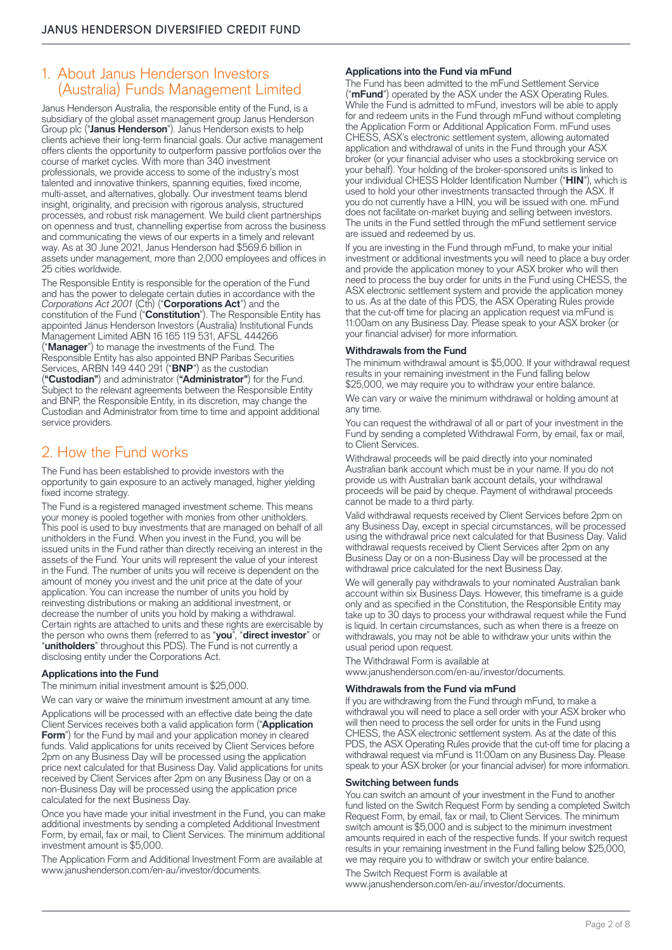# 1. About Janus Henderson Investors (Australia) Funds Management Limited

Janus Henderson Australia, the responsible entity of the Fund, is a subsidiary of the global asset management group Janus Henderson Group plc ("**Janus Henderson**"). Janus Henderson exists to help clients achieve their long-term financial goals. Our active management offers clients the opportunity to outperform passive portfolios over the course of market cycles. With more than 340 investment professionals, we provide access to some of the industry's most talented and innovative thinkers, spanning equities, fixed income, multi-asset, and alternatives, globally. Our investment teams blend insight, originality, and precision with rigorous analysis, structured processes, and robust risk management. We build client partnerships on openness and trust, channelling expertise from across the business and communicating the views of our experts in a timely and relevant way. As at 30 June 2021, Janus Henderson had \$569.6 billion in assets under management, more than 2,000 employees and offices in 25 cities worldwide.

The Responsible Entity is responsible for the operation of the Fund and has the power to delegate certain duties in accordance with the *Corporations Act 2001* (Cth) ("**Corporations Act**") and the constitution of the Fund ("**Constitution**"). The Responsible Entity has appointed Janus Henderson Investors (Australia) Institutional Funds Management Limited ABN 16 165 119 531, AFSL 444266 ("**Manager**") to manage the investments of the Fund. The Responsible Entity has also appointed BNP Paribas Securities Services, ARBN 149 440 291 ("**BNP**") as the custodian (**"Custodian"**) and administrator (**"Administrator"**) for the Fund. Subject to the relevant agreements between the Responsible Entity and BNP, the Responsible Entity, in its discretion, may change the Custodian and Administrator from time to time and appoint additional service providers.

# 2. How the Fund works

The Fund has been established to provide investors with the opportunity to gain exposure to an actively managed, higher yielding fixed income strategy.

The Fund is a registered managed investment scheme. This means your money is pooled together with monies from other unitholders. This pool is used to buy investments that are managed on behalf of all unitholders in the Fund. When you invest in the Fund, you will be issued units in the Fund rather than directly receiving an interest in the assets of the Fund. Your units will represent the value of your interest in the Fund. The number of units you will receive is dependent on the amount of money you invest and the unit price at the date of your application. You can increase the number of units you hold by reinvesting distributions or making an additional investment, or decrease the number of units you hold by making a withdrawal. Certain rights are attached to units and these rights are exercisable by the person who owns them (referred to as "**you**", "**direct investor**" or "**unitholders**" throughout this PDS). The Fund is not currently a disclosing entity under the Corporations Act.

#### **Applications into the Fund**

The minimum initial investment amount is \$25,000.

We can vary or waive the minimum investment amount at any time.

Applications will be processed with an effective date being the date Client Services receives both a valid application form ("**Application Form**") for the Fund by mail and your application money in cleared funds. Valid applications for units received by Client Services before 2pm on any Business Day will be processed using the application price next calculated for that Business Day. Valid applications for units received by Client Services after 2pm on any Business Day or on a non-Business Day will be processed using the application price calculated for the next Business Day.

Once you have made your initial investment in the Fund, you can make additional investments by sending a completed Additional Investment Form, by email, fax or mail, to Client Services. The minimum additional investment amount is \$5,000.

The Application Form and Additional Investment Form are available at [www.janushenderson.com/en-au/investor/documents.](http://www.janushenderson.com/en-au/investor/documents)

#### **Applications into the Fund via mFund**

The Fund has been admitted to the mFund Settlement Service ("**mFund**") operated by the ASX under the ASX Operating Rules. While the Fund is admitted to mFund, investors will be able to apply for and redeem units in the Fund through mFund without completing the Application Form or Additional Application Form. mFund uses CHESS, ASX's electronic settlement system, allowing automated application and withdrawal of units in the Fund through your ASX broker (or your financial adviser who uses a stockbroking service on your behalf). Your holding of the broker-sponsored units is linked to your individual CHESS Holder Identification Number ("**HIN**"), which is used to hold your other investments transacted through the ASX. If you do not currently have a HIN, you will be issued with one. mFund does not facilitate on-market buying and selling between investors. The units in the Fund settled through the mFund settlement service are issued and redeemed by us.

If you are investing in the Fund through mFund, to make your initial investment or additional investments you will need to place a buy order and provide the application money to your ASX broker who will then need to process the buy order for units in the Fund using CHESS, the ASX electronic settlement system and provide the application money to us. As at the date of this PDS, the ASX Operating Rules provide that the cut-off time for placing an application request via mFund is 11:00am on any Business Day. Please speak to your ASX broker (or your financial adviser) for more information.

#### **Withdrawals from the Fund**

The minimum withdrawal amount is \$5,000. If your withdrawal request results in your remaining investment in the Fund falling below \$25,000, we may require you to withdraw your entire balance.

We can vary or waive the minimum withdrawal or holding amount at any time.

You can request the withdrawal of all or part of your investment in the Fund by sending a completed Withdrawal Form, by email, fax or mail, to Client Services.

Withdrawal proceeds will be paid directly into your nominated Australian bank account which must be in your name. If you do not provide us with Australian bank account details, your withdrawal proceeds will be paid by cheque. Payment of withdrawal proceeds cannot be made to a third party.

Valid withdrawal requests received by Client Services before 2pm on any Business Day, except in special circumstances, will be processed using the withdrawal price next calculated for that Business Day. Valid withdrawal requests received by Client Services after 2pm on any Business Day or on a non-Business Day will be processed at the withdrawal price calculated for the next Business Day.

We will generally pay withdrawals to your nominated Australian bank account within six Business Days. However, this timeframe is a guide only and as specified in the Constitution, the Responsible Entity may take up to 30 days to process your withdrawal request while the Fund is liquid. In certain circumstances, such as when there is a freeze on withdrawals, you may not be able to withdraw your units within the usual period upon request.

The Withdrawal Form is available at

[www.janushenderson.com/en-au/investor/documents.](http://www.janushenderson.com/en-au/investor/documents)

#### **Withdrawals from the Fund via mFund**

If you are withdrawing from the Fund through mFund, to make a withdrawal you will need to place a sell order with your ASX broker who will then need to process the sell order for units in the Fund using CHESS, the ASX electronic settlement system. As at the date of this PDS, the ASX Operating Rules provide that the cut-off time for placing a withdrawal request via mFund is 11:00am on any Business Day. Please speak to your ASX broker (or your financial adviser) for more information.

#### **Switching between funds**

You can switch an amount of your investment in the Fund to another fund listed on the Switch Request Form by sending a completed Switch Request Form, by email, fax or mail, to Client Services. The minimum switch amount is \$5,000 and is subject to the minimum investment amounts required in each of the respective funds. If your switch request results in your remaining investment in the Fund falling below \$25,000, we may require you to withdraw or switch your entire balance.

The Switch Request Form is available at [www.janushenderson.com/en-au/investor/documents.](http://www.janushenderson.com/en-au/investor/documents)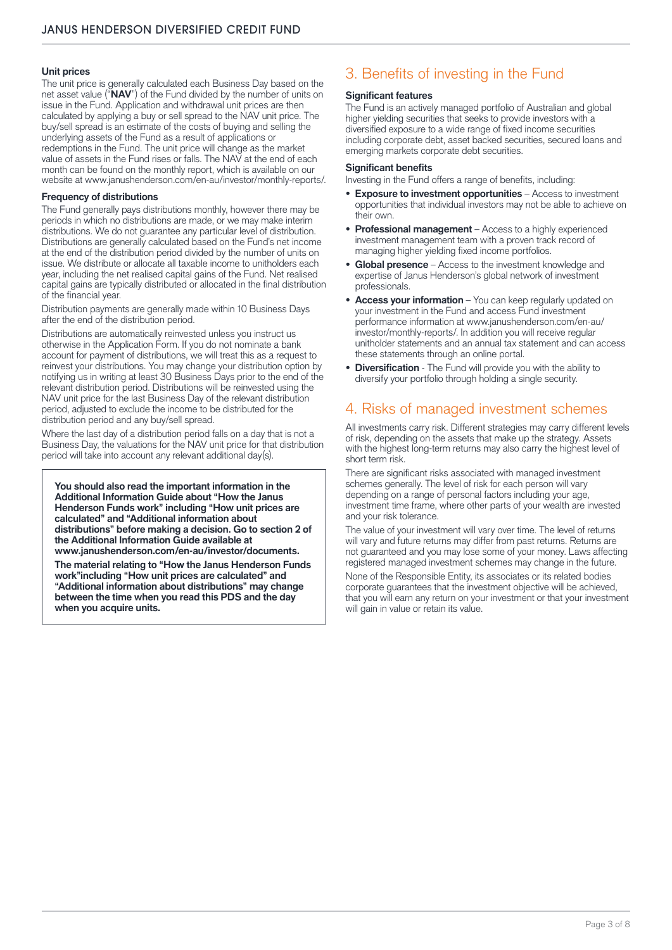#### **Unit prices**

The unit price is generally calculated each Business Day based on the net asset value ("**NAV**") of the Fund divided by the number of units on issue in the Fund. Application and withdrawal unit prices are then calculated by applying a buy or sell spread to the NAV unit price. The buy/sell spread is an estimate of the costs of buying and selling the underlying assets of the Fund as a result of applications or redemptions in the Fund. The unit price will change as the market value of assets in the Fund rises or falls. The NAV at the end of each month can be found on the monthly report, which is available on our website at [www.janushenderson.com/en-au/investor/monthly-reports/.](http://www.janushenderson.com/en-au/investor/monthly-reports/)

#### **Frequency of distributions**

The Fund generally pays distributions monthly, however there may be periods in which no distributions are made, or we may make interim distributions. We do not guarantee any particular level of distribution. Distributions are generally calculated based on the Fund's net income at the end of the distribution period divided by the number of units on issue. We distribute or allocate all taxable income to unitholders each year, including the net realised capital gains of the Fund. Net realised capital gains are typically distributed or allocated in the final distribution of the financial year.

Distribution payments are generally made within 10 Business Days after the end of the distribution period.

Distributions are automatically reinvested unless you instruct us otherwise in the Application Form. If you do not nominate a bank account for payment of distributions, we will treat this as a request to reinvest your distributions. You may change your distribution option by notifying us in writing at least 30 Business Days prior to the end of the relevant distribution period. Distributions will be reinvested using the NAV unit price for the last Business Day of the relevant distribution period, adjusted to exclude the income to be distributed for the distribution period and any buy/sell spread.

Where the last day of a distribution period falls on a day that is not a Business Day, the valuations for the NAV unit price for that distribution period will take into account any relevant additional day(s).

**You should also read the important information in the Additional Information Guide about "How the Janus Henderson Funds work" including "How unit prices are calculated" and "Additional information about distributions" before making a decision. Go to section 2 of the Additional Information Guide available at [www.janushenderson.com/en-au/investor/documents](http://www.janushenderson.com/en-au/investor/documents).**

**The material relating to "How the Janus Henderson Funds work"including "How unit prices are calculated" and "Additional information about distributions" may change between the time when you read this PDS and the day when you acquire units.** 

# 3. Benefits of investing in the Fund

#### **Significant features**

The Fund is an actively managed portfolio of Australian and global higher yielding securities that seeks to provide investors with a diversified exposure to a wide range of fixed income securities including corporate debt, asset backed securities, secured loans and emerging markets corporate debt securities.

#### **Significant benefits**

Investing in the Fund offers a range of benefits, including:

- **• Exposure to investment opportunities** Access to investment opportunities that individual investors may not be able to achieve on their own.
- **• Professional management** Access to a highly experienced investment management team with a proven track record of managing higher yielding fixed income portfolios.
- **• Global presence** Access to the investment knowledge and expertise of Janus Henderson's global network of investment professionals.
- **• Access your information** You can keep regularly updated on your investment in the Fund and access Fund investment performance information at [www.janushenderson.com/en-au/](http://www.janushenderson.com/en-au/investor/monthly-reports/) [investor/monthly-reports/.](http://www.janushenderson.com/en-au/investor/monthly-reports/) In addition you will receive regular unitholder statements and an annual tax statement and can access these statements through an online portal.
- **• Diversification** The Fund will provide you with the ability to diversify your portfolio through holding a single security.

# 4. Risks of managed investment schemes

All investments carry risk. Different strategies may carry different levels of risk, depending on the assets that make up the strategy. Assets with the highest long-term returns may also carry the highest level of short term risk.

There are significant risks associated with managed investment schemes generally. The level of risk for each person will vary depending on a range of personal factors including your age, investment time frame, where other parts of your wealth are invested and your risk tolerance.

The value of your investment will vary over time. The level of returns will vary and future returns may differ from past returns. Returns are not guaranteed and you may lose some of your money. Laws affecting registered managed investment schemes may change in the future. None of the Responsible Entity, its associates or its related bodies corporate guarantees that the investment objective will be achieved, that you will earn any return on your investment or that your investment will gain in value or retain its value.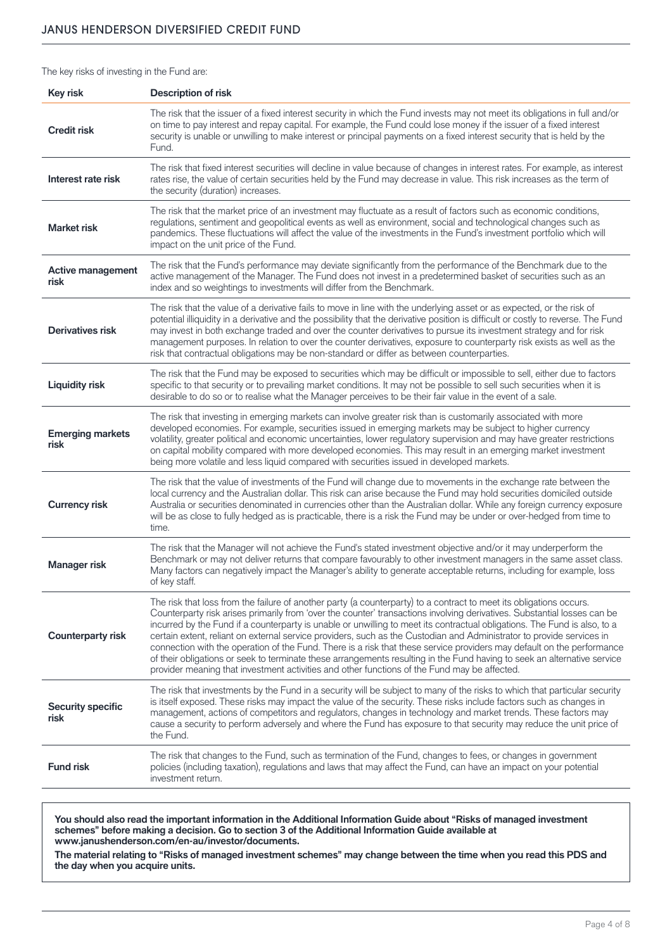The key risks of investing in the Fund are:

| <b>Key risk</b>                  | <b>Description of risk</b>                                                                                                                                                                                                                                                                                                                                                                                                                                                                                                                                                                                                                                                                                                                                                                                                                                  |
|----------------------------------|-------------------------------------------------------------------------------------------------------------------------------------------------------------------------------------------------------------------------------------------------------------------------------------------------------------------------------------------------------------------------------------------------------------------------------------------------------------------------------------------------------------------------------------------------------------------------------------------------------------------------------------------------------------------------------------------------------------------------------------------------------------------------------------------------------------------------------------------------------------|
| <b>Credit risk</b>               | The risk that the issuer of a fixed interest security in which the Fund invests may not meet its obligations in full and/or<br>on time to pay interest and repay capital. For example, the Fund could lose money if the issuer of a fixed interest<br>security is unable or unwilling to make interest or principal payments on a fixed interest security that is held by the<br>Fund.                                                                                                                                                                                                                                                                                                                                                                                                                                                                      |
| Interest rate risk               | The risk that fixed interest securities will decline in value because of changes in interest rates. For example, as interest<br>rates rise, the value of certain securities held by the Fund may decrease in value. This risk increases as the term of<br>the security (duration) increases.                                                                                                                                                                                                                                                                                                                                                                                                                                                                                                                                                                |
| <b>Market risk</b>               | The risk that the market price of an investment may fluctuate as a result of factors such as economic conditions,<br>regulations, sentiment and geopolitical events as well as environment, social and technological changes such as<br>pandemics. These fluctuations will affect the value of the investments in the Fund's investment portfolio which will<br>impact on the unit price of the Fund.                                                                                                                                                                                                                                                                                                                                                                                                                                                       |
| <b>Active management</b><br>risk | The risk that the Fund's performance may deviate significantly from the performance of the Benchmark due to the<br>active management of the Manager. The Fund does not invest in a predetermined basket of securities such as an<br>index and so weightings to investments will differ from the Benchmark.                                                                                                                                                                                                                                                                                                                                                                                                                                                                                                                                                  |
| <b>Derivatives risk</b>          | The risk that the value of a derivative fails to move in line with the underlying asset or as expected, or the risk of<br>potential illiquidity in a derivative and the possibility that the derivative position is difficult or costly to reverse. The Fund<br>may invest in both exchange traded and over the counter derivatives to pursue its investment strategy and for risk<br>management purposes. In relation to over the counter derivatives, exposure to counterparty risk exists as well as the<br>risk that contractual obligations may be non-standard or differ as between counterparties.                                                                                                                                                                                                                                                   |
| <b>Liquidity risk</b>            | The risk that the Fund may be exposed to securities which may be difficult or impossible to sell, either due to factors<br>specific to that security or to prevailing market conditions. It may not be possible to sell such securities when it is<br>desirable to do so or to realise what the Manager perceives to be their fair value in the event of a sale.                                                                                                                                                                                                                                                                                                                                                                                                                                                                                            |
| <b>Emerging markets</b><br>risk  | The risk that investing in emerging markets can involve greater risk than is customarily associated with more<br>developed economies. For example, securities issued in emerging markets may be subject to higher currency<br>volatility, greater political and economic uncertainties, lower regulatory supervision and may have greater restrictions<br>on capital mobility compared with more developed economies. This may result in an emerging market investment<br>being more volatile and less liquid compared with securities issued in developed markets.                                                                                                                                                                                                                                                                                         |
| <b>Currency risk</b>             | The risk that the value of investments of the Fund will change due to movements in the exchange rate between the<br>local currency and the Australian dollar. This risk can arise because the Fund may hold securities domiciled outside<br>Australia or securities denominated in currencies other than the Australian dollar. While any foreign currency exposure<br>will be as close to fully hedged as is practicable, there is a risk the Fund may be under or over-hedged from time to<br>time.                                                                                                                                                                                                                                                                                                                                                       |
| Manager risk                     | The risk that the Manager will not achieve the Fund's stated investment objective and/or it may underperform the<br>Benchmark or may not deliver returns that compare favourably to other investment managers in the same asset class.<br>Many factors can negatively impact the Manager's ability to generate acceptable returns, including for example, loss<br>of key staff.                                                                                                                                                                                                                                                                                                                                                                                                                                                                             |
| <b>Counterparty risk</b>         | The risk that loss from the failure of another party (a counterparty) to a contract to meet its obligations occurs.<br>Counterparty risk arises primarily from 'over the counter' transactions involving derivatives. Substantial losses can be<br>incurred by the Fund if a counterparty is unable or unwilling to meet its contractual obligations. The Fund is also, to a<br>certain extent, reliant on external service providers, such as the Custodian and Administrator to provide services in<br>connection with the operation of the Fund. There is a risk that these service providers may default on the performance<br>of their obligations or seek to terminate these arrangements resulting in the Fund having to seek an alternative service<br>provider meaning that investment activities and other functions of the Fund may be affected. |
| <b>Security specific</b><br>risk | The risk that investments by the Fund in a security will be subject to many of the risks to which that particular security<br>is itself exposed. These risks may impact the value of the security. These risks include factors such as changes in<br>management, actions of competitors and regulators, changes in technology and market trends. These factors may<br>cause a security to perform adversely and where the Fund has exposure to that security may reduce the unit price of<br>the Fund.                                                                                                                                                                                                                                                                                                                                                      |
| <b>Fund risk</b>                 | The risk that changes to the Fund, such as termination of the Fund, changes to fees, or changes in government<br>policies (including taxation), regulations and laws that may affect the Fund, can have an impact on your potential<br>investment return.                                                                                                                                                                                                                                                                                                                                                                                                                                                                                                                                                                                                   |

**You should also read the important information in the Additional Information Guide about "Risks of managed investment schemes" before making a decision. Go to section 3 of the Additional Information Guide available at [www.janushenderson.com/en-au/investor/documents](http://www.janushenderson.com/en-au/investor/documents).**

**The material relating to "Risks of managed investment schemes" may change between the time when you read this PDS and the day when you acquire units.**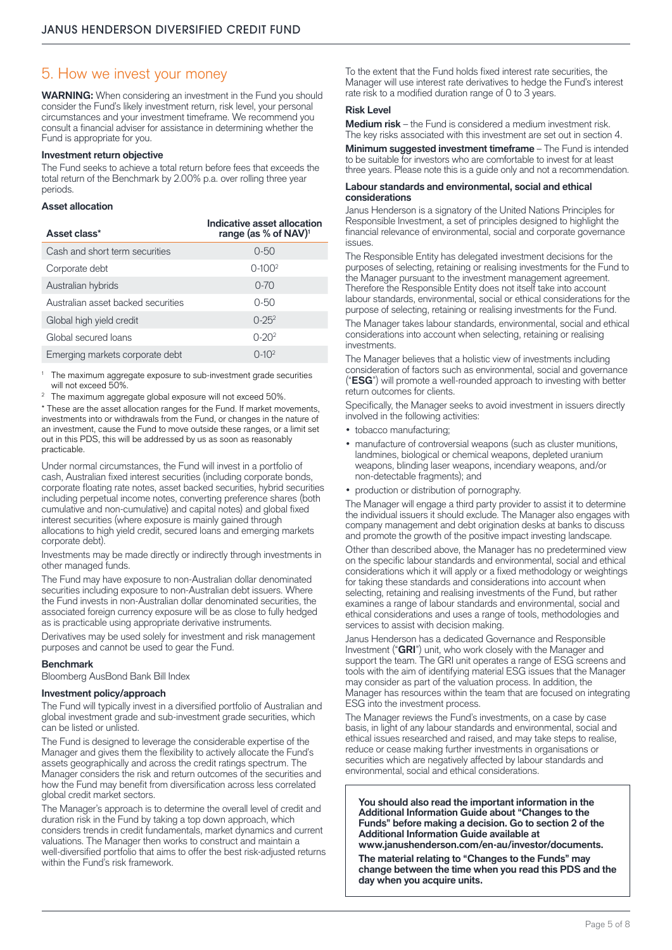### 5. How we invest your money

**WARNING:** When considering an investment in the Fund you should consider the Fund's likely investment return, risk level, your personal circumstances and your investment timeframe. We recommend you consult a financial adviser for assistance in determining whether the Fund is appropriate for you.

#### **Investment return objective**

The Fund seeks to achieve a total return before fees that exceeds the total return of the Benchmark by 2.00% p.a. over rolling three year periods.

#### **Asset allocation**

| Asset class*                       | Indicative asset allocation<br>range (as % of NAV) <sup>1</sup> |
|------------------------------------|-----------------------------------------------------------------|
| Cash and short term securities     | $0 - 50$                                                        |
| Corporate debt                     | $0 - 1002$                                                      |
| Australian hybrids                 | $0 - 70$                                                        |
| Australian asset backed securities | $0 - 50$                                                        |
| Global high yield credit           | $0 - 25^{2}$                                                    |
| Global secured loans               | $0 - 20^{2}$                                                    |
| Emerging markets corporate debt    | $0 - 10^{2}$                                                    |

The maximum aggregate exposure to sub-investment grade securities will not exceed 50%.

<sup>2</sup> The maximum aggregate global exposure will not exceed 50%.

\* These are the asset allocation ranges for the Fund. If market movements, investments into or withdrawals from the Fund, or changes in the nature of an investment, cause the Fund to move outside these ranges, or a limit set out in this PDS, this will be addressed by us as soon as reasonably practicable.

Under normal circumstances, the Fund will invest in a portfolio of cash, Australian fixed interest securities (including corporate bonds, corporate floating rate notes, asset backed securities, hybrid securities including perpetual income notes, converting preference shares (both cumulative and non-cumulative) and capital notes) and global fixed interest securities (where exposure is mainly gained through allocations to high yield credit, secured loans and emerging markets corporate debt).

Investments may be made directly or indirectly through investments in other managed funds.

The Fund may have exposure to non-Australian dollar denominated securities including exposure to non-Australian debt issuers. Where the Fund invests in non-Australian dollar denominated securities, the associated foreign currency exposure will be as close to fully hedged as is practicable using appropriate derivative instruments.

Derivatives may be used solely for investment and risk management purposes and cannot be used to gear the Fund.

#### **Benchmark**

Bloomberg AusBond Bank Bill Index

#### **Investment policy/approach**

The Fund will typically invest in a diversified portfolio of Australian and global investment grade and sub-investment grade securities, which can be listed or unlisted.

The Fund is designed to leverage the considerable expertise of the Manager and gives them the flexibility to actively allocate the Fund's assets geographically and across the credit ratings spectrum. The Manager considers the risk and return outcomes of the securities and how the Fund may benefit from diversification across less correlated global credit market sectors.

The Manager's approach is to determine the overall level of credit and duration risk in the Fund by taking a top down approach, which considers trends in credit fundamentals, market dynamics and current valuations. The Manager then works to construct and maintain a well-diversified portfolio that aims to offer the best risk-adjusted returns within the Fund's risk framework.

To the extent that the Fund holds fixed interest rate securities, the Manager will use interest rate derivatives to hedge the Fund's interest rate risk to a modified duration range of 0 to 3 years.

#### **Risk Level**

**Medium risk** – the Fund is considered a medium investment risk. The key risks associated with this investment are set out in section 4.

**Minimum suggested investment timeframe** – The Fund is intended to be suitable for investors who are comfortable to invest for at least three years. Please note this is a guide only and not a recommendation.

#### **Labour standards and environmental, social and ethical considerations**

Janus Henderson is a signatory of the United Nations Principles for Responsible Investment, a set of principles designed to highlight the financial relevance of environmental, social and corporate governance issues.

The Responsible Entity has delegated investment decisions for the purposes of selecting, retaining or realising investments for the Fund to the Manager pursuant to the investment management agreement. Therefore the Responsible Entity does not itself take into account labour standards, environmental, social or ethical considerations for the purpose of selecting, retaining or realising investments for the Fund.

The Manager takes labour standards, environmental, social and ethical considerations into account when selecting, retaining or realising investments.

The Manager believes that a holistic view of investments including consideration of factors such as environmental, social and governance ("**ESG**") will promote a well-rounded approach to investing with better return outcomes for clients.

Specifically, the Manager seeks to avoid investment in issuers directly involved in the following activities:

- tobacco manufacturing;
- manufacture of controversial weapons (such as cluster munitions, landmines, biological or chemical weapons, depleted uranium weapons, blinding laser weapons, incendiary weapons, and/or non-detectable fragments); and
- production or distribution of pornography.

The Manager will engage a third party provider to assist it to determine the individual issuers it should exclude. The Manager also engages with company management and debt origination desks at banks to discuss and promote the growth of the positive impact investing landscape.

Other than described above, the Manager has no predetermined view on the specific labour standards and environmental, social and ethical considerations which it will apply or a fixed methodology or weightings for taking these standards and considerations into account when selecting, retaining and realising investments of the Fund, but rather examines a range of labour standards and environmental, social and ethical considerations and uses a range of tools, methodologies and services to assist with decision making.

Janus Henderson has a dedicated Governance and Responsible Investment ("**GRI**") unit, who work closely with the Manager and support the team. The GRI unit operates a range of ESG screens and tools with the aim of identifying material ESG issues that the Manager may consider as part of the valuation process. In addition, the Manager has resources within the team that are focused on integrating ESG into the investment process.

The Manager reviews the Fund's investments, on a case by case basis, in light of any labour standards and environmental, social and ethical issues researched and raised, and may take steps to realise, reduce or cease making further investments in organisations or securities which are negatively affected by labour standards and environmental, social and ethical considerations.

**You should also read the important information in the Additional Information Guide about "Changes to the Funds" before making a decision. Go to section 2 of the Additional Information Guide available at [www.janushenderson.com/en-au/investor/documents](http://www.janushenderson.com/en-au/investor/documents/).**

**The material relating to "Changes to the Funds" may change between the time when you read this PDS and the day when you acquire units.**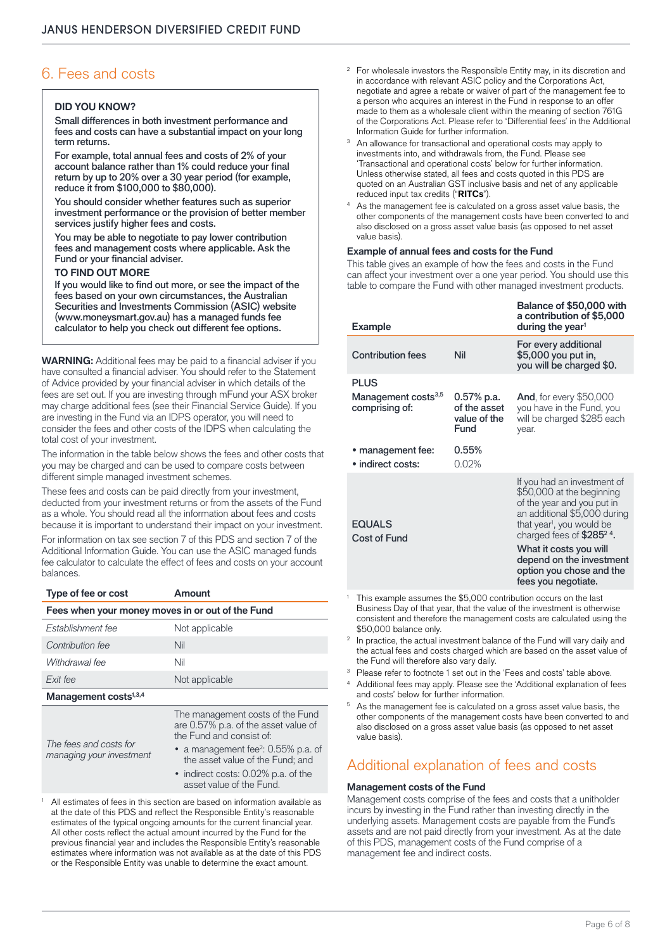# 6. Fees and costs

#### **DID YOU KNOW?**

Small differences in both investment performance and fees and costs can have a substantial impact on your long term returns.

For example, total annual fees and costs of 2% of your account balance rather than 1% could reduce your final return by up to 20% over a 30 year period (for example, reduce it from \$100,000 to \$80,000).

You should consider whether features such as superior investment performance or the provision of better member services justify higher fees and costs.

You may be able to negotiate to pay lower contribution fees and management costs where applicable. Ask the Fund or your financial adviser.

#### **TO FIND OUT MORE**

If you would like to find out more, or see the impact of the fees based on your own circumstances, the Australian Securities and Investments Commission (ASIC) website (www.moneysmart.gov.au) has a managed funds fee calculator to help you check out different fee options.

**WARNING:** Additional fees may be paid to a financial adviser if you have consulted a financial adviser. You should refer to the Statement of Advice provided by your financial adviser in which details of the fees are set out. If you are investing through mFund your ASX broker may charge additional fees (see their Financial Service Guide). If you are investing in the Fund via an IDPS operator, you will need to consider the fees and other costs of the IDPS when calculating the total cost of your investment.

The information in the table below shows the fees and other costs that you may be charged and can be used to compare costs between different simple managed investment schemes.

These fees and costs can be paid directly from your investment, deducted from your investment returns or from the assets of the Fund as a whole. You should read all the information about fees and costs because it is important to understand their impact on your investment.

For information on tax see section 7 of this PDS and section 7 of the Additional Information Guide. You can use the ASIC managed funds fee calculator to calculate the effect of fees and costs on your account balances.

#### **Type of fee or cost Amount**

| Fees when your money moves in or out of the Fund   |                                                                                                      |  |  |  |
|----------------------------------------------------|------------------------------------------------------------------------------------------------------|--|--|--|
| Establishment fee                                  | Not applicable                                                                                       |  |  |  |
| Contribution fee                                   | Nil                                                                                                  |  |  |  |
| Withdrawal fee                                     | Nil                                                                                                  |  |  |  |
| Exit fee                                           | Not applicable                                                                                       |  |  |  |
| Management costs <sup>1,3,4</sup>                  |                                                                                                      |  |  |  |
|                                                    | The management costs of the Fund<br>are 0.57% p.a. of the asset value of<br>the Fund and consist of: |  |  |  |
| The fees and costs for<br>managing your investment | • a management fee <sup>2</sup> : $0.55\%$ p.a. of<br>the asset value of the Fund; and               |  |  |  |

• indirect costs: 0.02% p.a. of the asset value of the Fund.

<sup>1</sup> All estimates of fees in this section are based on information available as at the date of this PDS and reflect the Responsible Entity's reasonable estimates of the typical ongoing amounts for the current financial year. All other costs reflect the actual amount incurred by the Fund for the previous financial year and includes the Responsible Entity's reasonable estimates where information was not available as at the date of this PDS or the Responsible Entity was unable to determine the exact amount.

- <sup>2</sup> For wholesale investors the Responsible Entity may, in its discretion and in accordance with relevant ASIC policy and the Corporations Act, negotiate and agree a rebate or waiver of part of the management fee to a person who acquires an interest in the Fund in response to an offer made to them as a wholesale client within the meaning of section 761G of the Corporations Act. Please refer to 'Differential fees' in the Additional
- An allowance for transactional and operational costs may apply to investments into, and withdrawals from, the Fund. Please see 'Transactional and operational costs' below for further information. Unless otherwise stated, all fees and costs quoted in this PDS are quoted on an Australian GST inclusive basis and net of any applicable reduced input tax credits ("**RITCs**").
- As the management fee is calculated on a gross asset value basis, the other components of the management costs have been converted to and also disclosed on a gross asset value basis (as opposed to net asset value basis).

#### **Example of annual fees and costs for the Fund**

This table gives an example of how the fees and costs in the Fund can affect your investment over a one year period. You should use this table to compare the Fund with other managed investment products.

| <b>Example</b>                                    |                                                    | Balance of \$50,000 with<br>a contribution of \$5,000<br>during the year <sup>1</sup>                                                                                                                                                                                                                             |
|---------------------------------------------------|----------------------------------------------------|-------------------------------------------------------------------------------------------------------------------------------------------------------------------------------------------------------------------------------------------------------------------------------------------------------------------|
| <b>Contribution fees</b>                          | Nil                                                | For every additional<br>\$5,000 you put in,<br>you will be charged \$0.                                                                                                                                                                                                                                           |
| <b>PLUS</b>                                       |                                                    |                                                                                                                                                                                                                                                                                                                   |
| Management costs <sup>3,5</sup><br>comprising of: | 0.57% p.a.<br>of the asset<br>value of the<br>Fund | <b>And,</b> for every \$50,000<br>you have in the Fund, you<br>will be charged \$285 each<br>year.                                                                                                                                                                                                                |
| • management fee:<br>· indirect costs:            | 0.55%<br>0.02%                                     |                                                                                                                                                                                                                                                                                                                   |
| <b>EQUALS</b><br>Cost of Fund                     |                                                    | If you had an investment of<br>\$50,000 at the beginning<br>of the year and you put in<br>an additional \$5,000 during<br>that year <sup>1</sup> , you would be<br>charged fees of \$285 <sup>24</sup> .<br>What it costs you will<br>depend on the investment<br>option you chose and the<br>fees you negotiate. |

<sup>1</sup> This example assumes the \$5,000 contribution occurs on the last Business Day of that year, that the value of the investment is otherwise consistent and therefore the management costs are calculated using the \$50,000 balance only.

<sup>2</sup> In practice, the actual investment balance of the Fund will vary daily and the actual fees and costs charged which are based on the asset value of the Fund will therefore also vary daily.

<sup>3</sup> Please refer to footnote 1 set out in the 'Fees and costs' table above.

<sup>4</sup> Additional fees may apply. Please see the 'Additional explanation of fees and costs' below for further information.

<sup>5</sup> As the management fee is calculated on a gross asset value basis, the other components of the management costs have been converted to and also disclosed on a gross asset value basis (as opposed to net asset value basis).

# Additional explanation of fees and costs

#### **Management costs of the Fund**

Management costs comprise of the fees and costs that a unitholder incurs by investing in the Fund rather than investing directly in the underlying assets. Management costs are payable from the Fund's assets and are not paid directly from your investment. As at the date of this PDS, management costs of the Fund comprise of a management fee and indirect costs.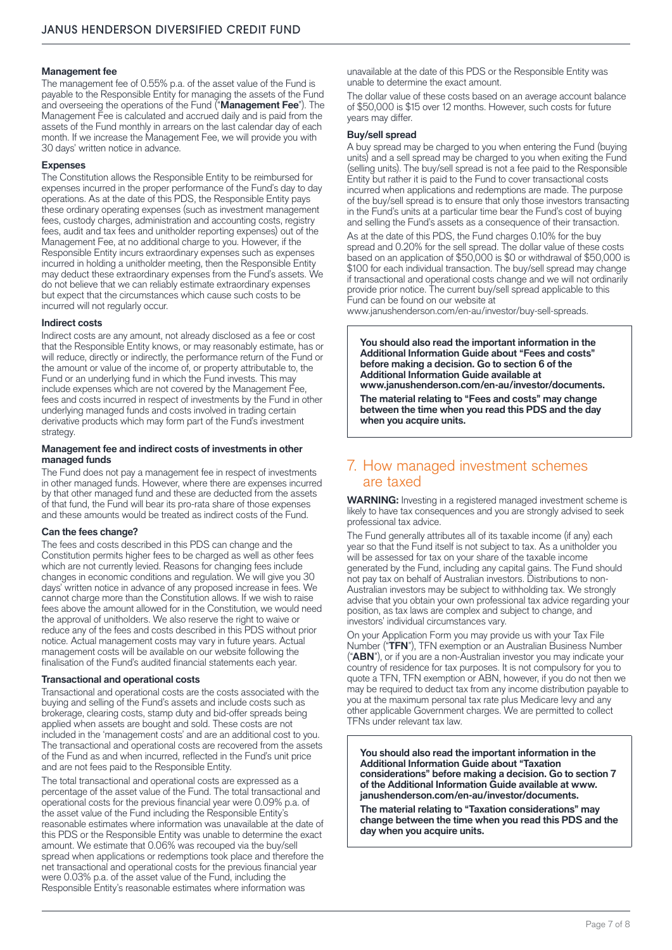#### **Management fee**

The management fee of 0.55% p.a. of the asset value of the Fund is payable to the Responsible Entity for managing the assets of the Fund and overseeing the operations of the Fund ("**Management Fee**"). The Management Fee is calculated and accrued daily and is paid from the assets of the Fund monthly in arrears on the last calendar day of each month. If we increase the Management Fee, we will provide you with 30 days' written notice in advance.

#### **Expenses**

The Constitution allows the Responsible Entity to be reimbursed for expenses incurred in the proper performance of the Fund's day to day operations. As at the date of this PDS, the Responsible Entity pays these ordinary operating expenses (such as investment management fees, custody charges, administration and accounting costs, registry fees, audit and tax fees and unitholder reporting expenses) out of the Management Fee, at no additional charge to you. However, if the Responsible Entity incurs extraordinary expenses such as expenses incurred in holding a unitholder meeting, then the Responsible Entity may deduct these extraordinary expenses from the Fund's assets. We do not believe that we can reliably estimate extraordinary expenses but expect that the circumstances which cause such costs to be incurred will not regularly occur.

#### **Indirect costs**

Indirect costs are any amount, not already disclosed as a fee or cost that the Responsible Entity knows, or may reasonably estimate, has or will reduce, directly or indirectly, the performance return of the Fund or the amount or value of the income of, or property attributable to, the Fund or an underlying fund in which the Fund invests. This may include expenses which are not covered by the Management Fee, fees and costs incurred in respect of investments by the Fund in other underlying managed funds and costs involved in trading certain derivative products which may form part of the Fund's investment strategy.

#### **Management fee and indirect costs of investments in other managed funds**

The Fund does not pay a management fee in respect of investments in other managed funds. However, where there are expenses incurred by that other managed fund and these are deducted from the assets of that fund, the Fund will bear its pro-rata share of those expenses and these amounts would be treated as indirect costs of the Fund.

#### **Can the fees change?**

The fees and costs described in this PDS can change and the Constitution permits higher fees to be charged as well as other fees which are not currently levied. Reasons for changing fees include changes in economic conditions and regulation. We will give you 30 days' written notice in advance of any proposed increase in fees. We cannot charge more than the Constitution allows. If we wish to raise fees above the amount allowed for in the Constitution, we would need the approval of unitholders. We also reserve the right to waive or reduce any of the fees and costs described in this PDS without prior notice. Actual management costs may vary in future years. Actual management costs will be available on our website following the finalisation of the Fund's audited financial statements each year.

#### **Transactional and operational costs**

Transactional and operational costs are the costs associated with the buying and selling of the Fund's assets and include costs such as brokerage, clearing costs, stamp duty and bid-offer spreads being applied when assets are bought and sold. These costs are not included in the 'management costs' and are an additional cost to you. The transactional and operational costs are recovered from the assets of the Fund as and when incurred, reflected in the Fund's unit price and are not fees paid to the Responsible Entity.

The total transactional and operational costs are expressed as a percentage of the asset value of the Fund. The total transactional and operational costs for the previous financial year were 0.09% p.a. of the asset value of the Fund including the Responsible Entity's reasonable estimates where information was unavailable at the date of this PDS or the Responsible Entity was unable to determine the exact amount. We estimate that 0.06% was recouped via the buy/sell spread when applications or redemptions took place and therefore the net transactional and operational costs for the previous financial year were 0.03% p.a. of the asset value of the Fund, including the Responsible Entity's reasonable estimates where information was

unavailable at the date of this PDS or the Responsible Entity was unable to determine the exact amount.

The dollar value of these costs based on an average account balance of \$50,000 is \$15 over 12 months. However, such costs for future years may differ.

#### **Buy/sell spread**

A buy spread may be charged to you when entering the Fund (buying units) and a sell spread may be charged to you when exiting the Fund (selling units). The buy/sell spread is not a fee paid to the Responsible Entity but rather it is paid to the Fund to cover transactional costs incurred when applications and redemptions are made. The purpose of the buy/sell spread is to ensure that only those investors transacting in the Fund's units at a particular time bear the Fund's cost of buying and selling the Fund's assets as a consequence of their transaction.

As at the date of this PDS, the Fund charges 0.10% for the buy spread and 0.20% for the sell spread. The dollar value of these costs based on an application of \$50,000 is \$0 or withdrawal of \$50,000 is \$100 for each individual transaction. The buy/sell spread may change if transactional and operational costs change and we will not ordinarily provide prior notice. The current buy/sell spread applicable to this Fund can be found on our website at

[www.janushenderson.com/en-au/investor/buy-sell-spreads](http://www.janushenderson.com/en-au/investor/buy-sell-spreads).

**You should also read the important information in the Additional Information Guide about "Fees and costs" before making a decision. Go to section 6 of the Additional Information Guide available at [www.janushenderson.com/en-au/investor/documents.](http://www.janushenderson.com/en-au/investor/documents) The material relating to "Fees and costs" may change between the time when you read this PDS and the day when you acquire units.**

## 7. How managed investment schemes are taxed

**WARNING:** Investing in a registered managed investment scheme is likely to have tax consequences and you are strongly advised to seek professional tax advice.

The Fund generally attributes all of its taxable income (if any) each year so that the Fund itself is not subject to tax. As a unitholder you will be assessed for tax on your share of the taxable income generated by the Fund, including any capital gains. The Fund should not pay tax on behalf of Australian investors. Distributions to non-Australian investors may be subject to withholding tax. We strongly advise that you obtain your own professional tax advice regarding your position, as tax laws are complex and subject to change, and investors' individual circumstances vary.

On your Application Form you may provide us with your Tax File Number ("**TFN**"), TFN exemption or an Australian Business Number ("**ABN**"), or if you are a non-Australian investor you may indicate your country of residence for tax purposes. It is not compulsory for you to quote a TFN, TFN exemption or ABN, however, if you do not then we may be required to deduct tax from any income distribution payable to you at the maximum personal tax rate plus Medicare levy and any other applicable Government charges. We are permitted to collect TFNs under relevant tax law.

**You should also read the important information in the Additional Information Guide about "Taxation considerations" before making a decision. Go to section 7 of the Additional Information Guide available at [www.](http://www.janushenderson.com/en-au/investor/documents) [janushenderson.com/en-au/investor/documents.](http://www.janushenderson.com/en-au/investor/documents)**

**The material relating to "Taxation considerations" may change between the time when you read this PDS and the day when you acquire units.**